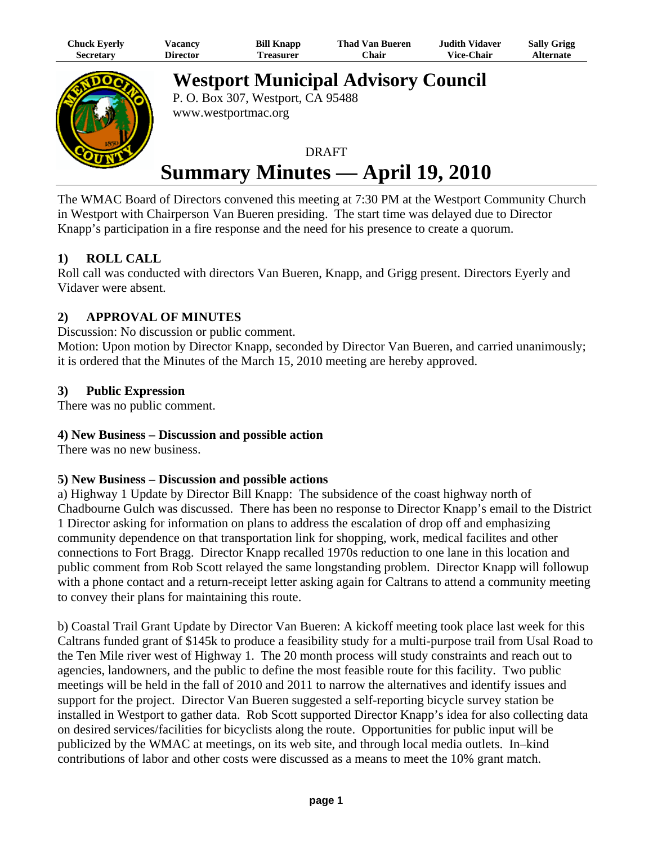| Chuck Eyerly | √acancy  | <b>Bill Knapp</b> | <b>Thad Van Bueren</b> | <b>Judith Vidaver</b> | <b>Sally Grigg</b> |
|--------------|----------|-------------------|------------------------|-----------------------|--------------------|
| Secretary    | Director | Treasurer         | ⊂hair                  | <b>Vice-Chair</b>     | <b>Alternate</b>   |



**Westport Municipal Advisory Council** P. O. Box 307, Westport, CA 95488

www.westportmac.org

# **DRAFT Summary Minutes — April 19, 2010**

The WMAC Board of Directors convened this meeting at 7:30 PM at the Westport Community Church in Westport with Chairperson Van Bueren presiding. The start time was delayed due to Director Knapp's participation in a fire response and the need for his presence to create a quorum.

## **1) ROLL CALL**

Roll call was conducted with directors Van Bueren, Knapp, and Grigg present. Directors Eyerly and Vidaver were absent.

## **2) APPROVAL OF MINUTES**

Discussion: No discussion or public comment.

Motion: Upon motion by Director Knapp, seconded by Director Van Bueren, and carried unanimously; it is ordered that the Minutes of the March 15, 2010 meeting are hereby approved.

## **3) Public Expression**

There was no public comment.

### **4) New Business – Discussion and possible action**

There was no new business.

### **5) New Business – Discussion and possible actions**

a) Highway 1 Update by Director Bill Knapp: The subsidence of the coast highway north of Chadbourne Gulch was discussed. There has been no response to Director Knapp's email to the District 1 Director asking for information on plans to address the escalation of drop off and emphasizing community dependence on that transportation link for shopping, work, medical facilites and other connections to Fort Bragg. Director Knapp recalled 1970s reduction to one lane in this location and public comment from Rob Scott relayed the same longstanding problem. Director Knapp will followup with a phone contact and a return-receipt letter asking again for Caltrans to attend a community meeting to convey their plans for maintaining this route.

b) Coastal Trail Grant Update by Director Van Bueren: A kickoff meeting took place last week for this Caltrans funded grant of \$145k to produce a feasibility study for a multi-purpose trail from Usal Road to the Ten Mile river west of Highway 1. The 20 month process will study constraints and reach out to agencies, landowners, and the public to define the most feasible route for this facility. Two public meetings will be held in the fall of 2010 and 2011 to narrow the alternatives and identify issues and support for the project. Director Van Bueren suggested a self-reporting bicycle survey station be installed in Westport to gather data. Rob Scott supported Director Knapp's idea for also collecting data on desired services/facilities for bicyclists along the route. Opportunities for public input will be publicized by the WMAC at meetings, on its web site, and through local media outlets. In–kind contributions of labor and other costs were discussed as a means to meet the 10% grant match.